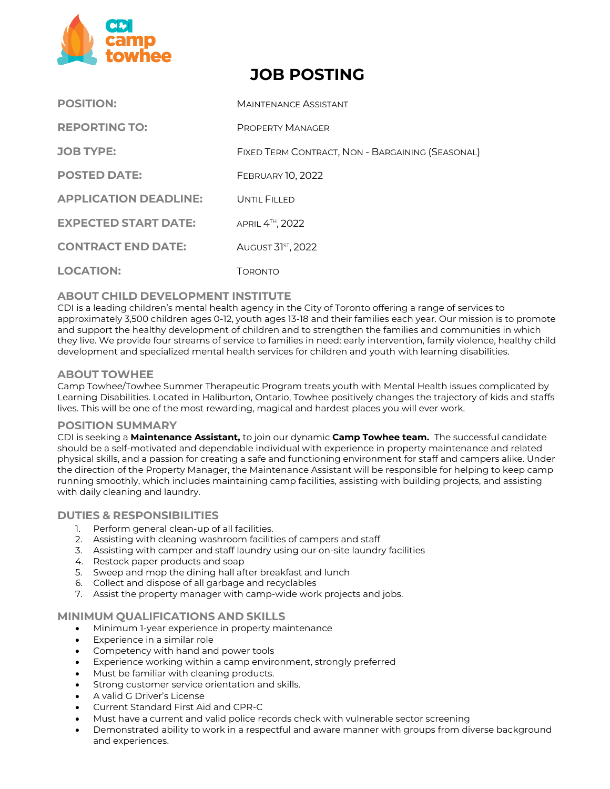

# **JOB POSTING**

| <b>POSITION:</b>             | <b>MAINTENANCE ASSISTANT</b>                     |
|------------------------------|--------------------------------------------------|
| <b>REPORTING TO:</b>         | <b>PROPERTY MANAGER</b>                          |
| <b>JOB TYPE:</b>             | FIXED TERM CONTRACT, NON - BARGAINING (SEASONAL) |
| <b>POSTED DATE:</b>          | <b>FEBRUARY 10, 2022</b>                         |
| <b>APPLICATION DEADLINE:</b> | UNTIL FILLED                                     |
| <b>EXPECTED START DATE:</b>  | APRIL 4 <sup>TH</sup> , 2022                     |
| <b>CONTRACT END DATE:</b>    | <b>AUGUST 31ST, 2022</b>                         |
| <b>LOCATION:</b>             | Toronto                                          |

# **ABOUT CHILD DEVELOPMENT INSTITUTE**

CDI is a leading children's mental health agency in the City of Toronto offering a range of services to approximately 3,500 children ages 0‐12, youth ages 13-18 and their families each year. Our mission is to promote and support the healthy development of children and to strengthen the families and communities in which they live. We provide four streams of service to families in need: early intervention, family violence, healthy child development and specialized mental health services for children and youth with learning disabilities.

## **ABOUT TOWHEE**

Camp Towhee/Towhee Summer Therapeutic Program treats youth with Mental Health issues complicated by Learning Disabilities. Located in Haliburton, Ontario, Towhee positively changes the trajectory of kids and staffs lives. This will be one of the most rewarding, magical and hardest places you will ever work.

#### **POSITION SUMMARY**

CDI is seeking a **Maintenance Assistant,** to join our dynamic **Camp Towhee team.** The successful candidate should be a self-motivated and dependable individual with experience in property maintenance and related physical skills, and a passion for creating a safe and functioning environment for staff and campers alike. Under the direction of the Property Manager, the Maintenance Assistant will be responsible for helping to keep camp running smoothly, which includes maintaining camp facilities, assisting with building projects, and assisting with daily cleaning and laundry.

## **DUTIES & RESPONSIBILITIES**

- 1. Perform general clean-up of all facilities.
- 2. Assisting with cleaning washroom facilities of campers and staff
- 3. Assisting with camper and staff laundry using our on-site laundry facilities
- 4. Restock paper products and soap
- 5. Sweep and mop the dining hall after breakfast and lunch
- 6. Collect and dispose of all garbage and recyclables
- 7. Assist the property manager with camp-wide work projects and jobs.

## **MINIMUM QUALIFICATIONS AND SKILLS**

- Minimum 1-year experience in property maintenance
- Experience in a similar role
- Competency with hand and power tools
- Experience working within a camp environment, strongly preferred
- Must be familiar with cleaning products.
- Strong customer service orientation and skills.
- A valid G Driver's License
- Current Standard First Aid and CPR-C
- Must have a current and valid police records check with vulnerable sector screening
- Demonstrated ability to work in a respectful and aware manner with groups from diverse background and experiences.